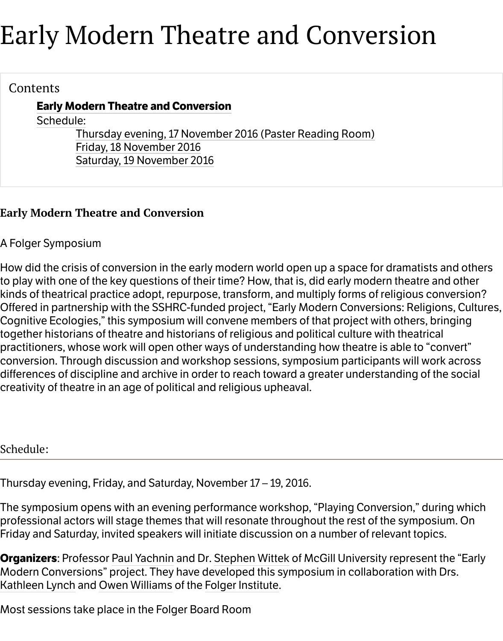#### Contents

# **Early Modern Theatre and Conversion**

Schedule:

Thursday evening, 17 November 2016 (Paster Reading Room) Friday, 18 November 2016 Saturday, 19 November 2016

# **Early [Modern T](http://folgerpedia.folger.edu/Early_Modern_Theatre_and_Conversion#Schedule:)[heatre and Conversion](http://folgerpedia.folger.edu/Early_Modern_Theatre_and_Conversion#Thursday_evening.2C_17_November_2016_.28Paster_Reading_Room.29)**

A Folger Symp[osium](http://folgerpedia.folger.edu/Early_Modern_Theatre_and_Conversion#Saturday.2C_19_November_2016)

How did the crisis of conversion in the early modern world open up a space for dramatis to play with one of the key questions of their time? How, that is, did early modern theatre kinds of theatrical practice adopt, repurpose, transform, and multiply forms of religious Offered in partnership with the SSHRC-funded project, "Early Modern Conversions: Relig Cognitive Ecologies," this symposium will convene members of that project with others, together historians of theatre and historians of religious and political culture with theatr practitioners, whose work will open other ways of understanding how theatre is able to conversion. Through discussion and workshop sessions, symposium participants will w differences of discipline and archive in order to reach toward a greater understanding o creativity of theatre in an age of political and religious upheaval.

Schedule:

Thursday evening, Friday, and Saturday, November 17 – 19, 2016.

The symposium opens with an evening performance workshop, "Playing Conversion," d professional actors will stage themes that will resonate throughout the rest of the sympo Friday and Saturday, invited speakers will initiate discussion on a number of relevant top

**Organizers: Professor Paul Yachnin and Dr. Stephen Wittek of McGill University represe** Modern Conversions" project. They have developed this symposium in collaboration wi Kathleen Lynch and Owen Williams of the Folger Institute.

Most sessions take place in the Folger Board Room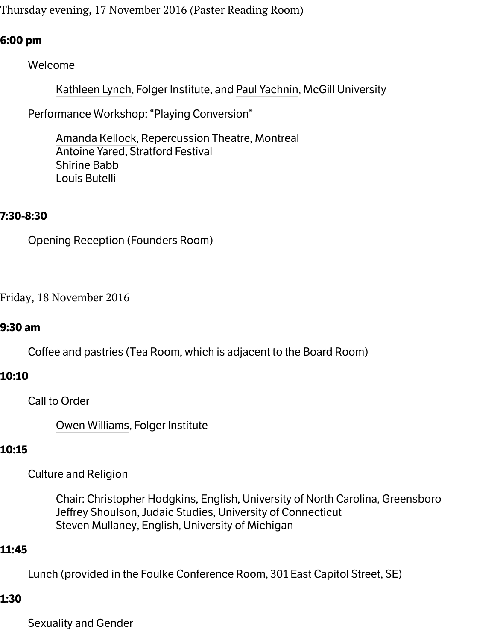Kathleen Lynch, Folger Institute, and Paul Yachnin, McGill University

Performance Workshop: "Playing Conversion"

Amanda Kellock, Repercussion Theatre, Montreal Antoine Yared, Stratford Festival Shirine Babb [Louis Butelli](http://folgerpedia.folger.edu/Kathleen_Lynch)

# **7:30-8:30**

Open[ing Reception](http://folgerpedia.folger.edu/Antoine_Yared) (Founders Room)

Friday, 18 November 2016

#### **9:30 am**

Coffee and pastries (Tea Room, which is adjacent to the Board Room)

#### **10:10**

Call to Order

Owen Williams, Folger Institute

# **10:15**

Culture and Religion

Chair: Christopher Hodgkins, English, University of North Carolina, Greensbor [Jeffrey Shoulso](http://folgerpedia.folger.edu/Owen_Williams)n, Judaic Studies, University of Connecticut Steven Mullaney, English, University of Michigan

#### **11:45**

Lunch (pro[vided in the Foulke Con](http://folgerpedia.folger.edu/Christopher_Hodgkins)ference Room, 301 East Capitol Street, SE)

#### **1:30**

Sexu[ality and Gender](http://folgerpedia.folger.edu/Steven_Mullaney)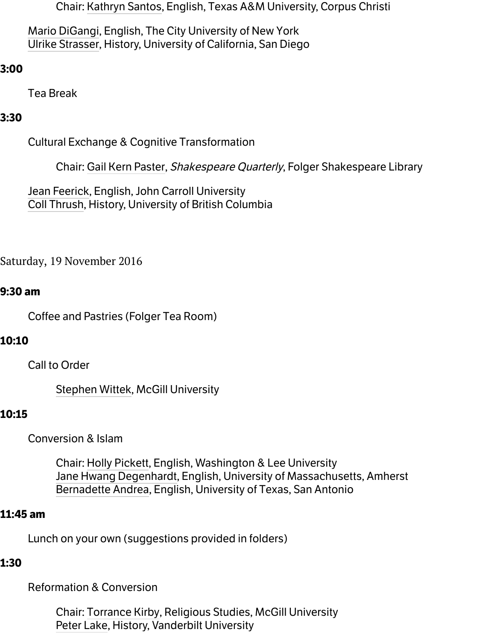Tea Break

#### **3:30**

[Cultural Exchan](http://folgerpedia.folger.edu/Ulrike_Strasser)ge & Cognitive Transformation

Chair: Gail Kern Paster, Shakespeare Quarterly, Folger Shakespeare Library

Jean Feerick, English, John Carroll University Coll Thrush, History, University of British Columbia

Saturday, 19 Nov[ember 2016](http://folgerpedia.folger.edu/Gail_Kern_Paster)

#### **9:30 [am](http://folgerpedia.folger.edu/Coll_Thrush)**

Coffee and Pastries (Folger Tea Room)

# **10:10**

Call to Order

Stephen Wittek, McGill University

# **10:15**

Conversion & Islam

Chair: Holly Pickett, English, Washington & Lee University [Jane Hwang De](http://folgerpedia.folger.edu/Stephen_Wittek)genhardt, English, University of Massachusetts, Amherst Bernadette Andrea, English, University of Texas, San Antonio

#### **11:45 am**

Lunch on y[our own \(sugg](http://folgerpedia.folger.edu/Holly_Pickett)estions provided in folders)

#### **1:30**

Refor[mation & Conversio](http://folgerpedia.folger.edu/Bernadette_Andrea)n

Chair: Torrance Kirby, Religious Studies, McGill University Peter Lake, History, Vanderbilt University